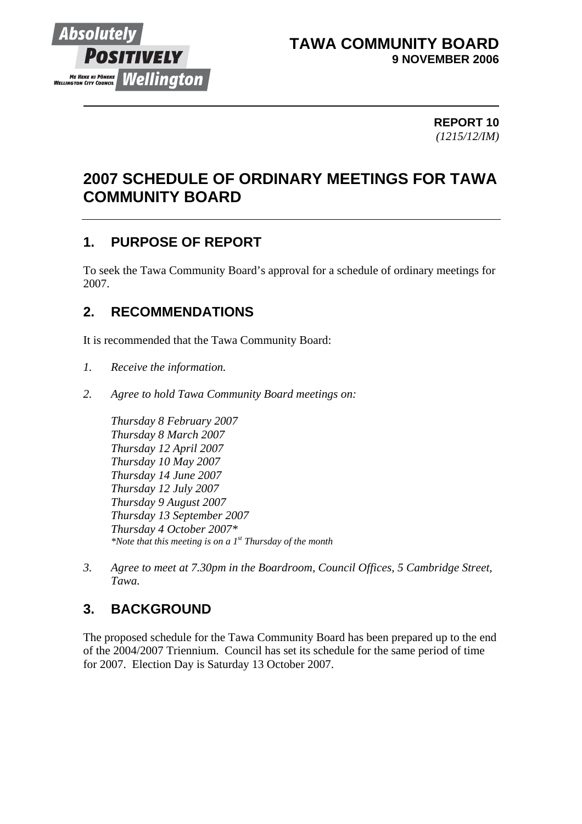

### **TAWA COMMUNITY BOARD 9 NOVEMBER 2006**

 **REPORT 10** *(1215/12/IM)*

# **2007 SCHEDULE OF ORDINARY MEETINGS FOR TAWA COMMUNITY BOARD**

## **1. PURPOSE OF REPORT**

To seek the Tawa Community Board's approval for a schedule of ordinary meetings for 2007.

#### **2. RECOMMENDATIONS**

It is recommended that the Tawa Community Board:

- *1. Receive the information.*
- *2. Agree to hold Tawa Community Board meetings on:*

*Thursday 8 February 2007 Thursday 8 March 2007 Thursday 12 April 2007 Thursday 10 May 2007 Thursday 14 June 2007 Thursday 12 July 2007 Thursday 9 August 2007 Thursday 13 September 2007 Thursday 4 October 2007\* \*Note that this meeting is on a 1st Thursday of the month* 

*3. Agree to meet at 7.30pm in the Boardroom, Council Offices, 5 Cambridge Street, Tawa.* 

# **3. BACKGROUND**

The proposed schedule for the Tawa Community Board has been prepared up to the end of the 2004/2007 Triennium. Council has set its schedule for the same period of time for 2007. Election Day is Saturday 13 October 2007.